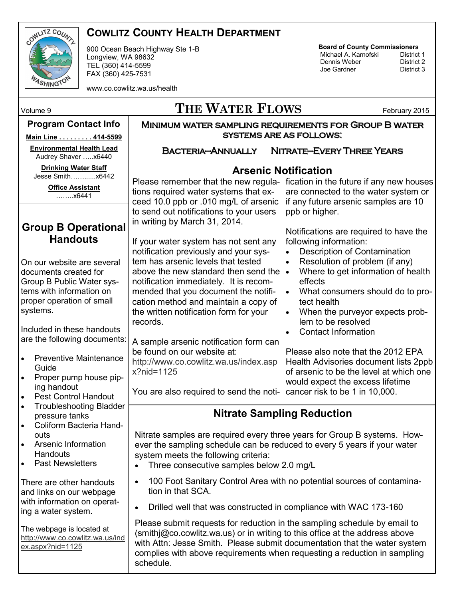

## **COWLITZ COUNTY HEALTH DEPARTMENT**

900 Ocean Beach Highway Ste 1-B Longview, WA 98632 TEL (360) 414-5599 FAX (360) 425-7531

www.co.cowlitz.wa.us/health

## **Board of County Commissioners**

Michael A. Karnofski District 1<br>Dennis Weber District 2 **Dennis Weber** District 2<br> **District 3**<br>
District 3 Joe Gardner

# Volume 9 **THE WATER FLOWS** February 2015

#### **Program Contact Info**

**Main Line . . . . . . . . . 414-5599**

**Environmental Health Lead** Audrey Shaver …..x6440

**Drinking Water Staff**  Jesse Smith……......x6442

> **Office Assistant** ……..x6441

### **Group B Operational Handouts**

On our website are several documents created for Group B Public Water systems with information on proper operation of small systems.

Included in these handouts are the following documents:

- Preventive Maintenance Guide
- Proper pump house piping handout
- Pest Control Handout Troubleshooting Bladder
- pressure tanks Coliform Bacteria Handouts
- Arsenic Information **Handouts**
- Past Newsletters

There are other handouts and links on our webpage with information on operating a water system.

The webpage is located at [http://www.co.cowlitz.wa.us/ind](http://www.co.cowlitz.wa.us/index.aspx?nid=1125) [ex.aspx?nid=1125](http://www.co.cowlitz.wa.us/index.aspx?nid=1125)

Bacteria—Annually Nitrate—Every Three Years

Minimum water sampling requirements for Group B water systems are as follows:

#### **Arsenic Notification**

tions required water systems that exceed 10.0 ppb or .010 mg/L of arsenic to send out notifications to your users in writing by March 31, 2014.

If your water system has not sent any notification previously and your system has arsenic levels that tested above the new standard then send the  $\bullet$ notification immediately. It is recommended that you document the notification method and maintain a copy of the written notification form for your records.

A sample arsenic notification form can be found on our website at: [x?nid=1125](http://www.co.cowlitz.wa.us/index.aspx?nid=1125)

Please remember that the new regula- fication in the future if any new houses are connected to the water system or if any future arsenic samples are 10 ppb or higher.

> Notifications are required to have the following information:

- Description of Contamination
- Resolution of problem (if any)
- Where to get information of health effects
- What consumers should do to protect health
- When the purveyor expects problem to be resolved
- Contact Information

[http://www.co.cowlitz.wa.us/index.asp](http://www.co.cowlitz.wa.us/index.aspx?nid=1125) Health Advisories document lists 2ppb Please also note that the 2012 EPA of arsenic to be the level at which one would expect the excess lifetime

You are also required to send the noti-cancer risk to be 1 in 10,000.

# **Nitrate Sampling Reduction**

Nitrate samples are required every three years for Group B systems. However the sampling schedule can be reduced to every 5 years if your water system meets the following criteria:

- Three consecutive samples below 2.0 mg/L
- 100 Foot Sanitary Control Area with no potential sources of contamination in that SCA.
- Drilled well that was constructed in compliance with WAC 173-160

Please submit requests for reduction in the sampling schedule by email to (smithj@co.cowlitz.wa.us) or in writing to this office at the address above with Attn: Jesse Smith. Please submit documentation that the water system complies with above requirements when requesting a reduction in sampling schedule.